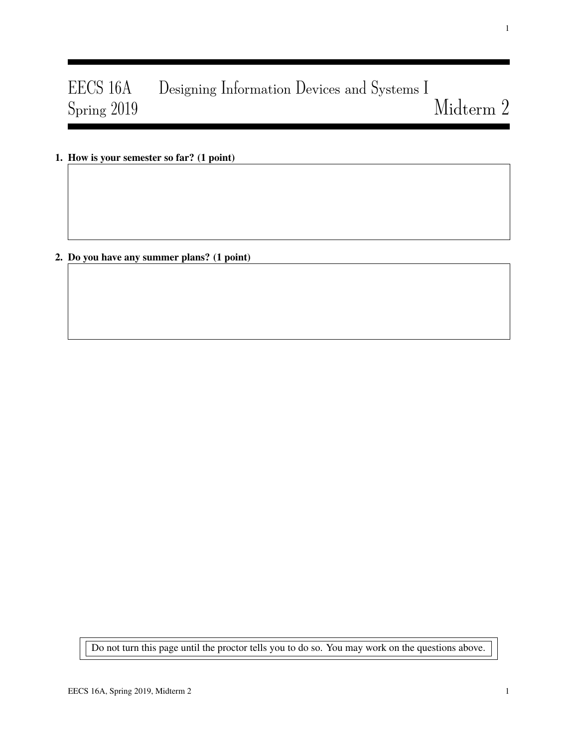# EECS 16A Designing Information Devices and Systems I Spring 2019 Midterm 2

1. How is your semester so far? (1 point)

2. Do you have any summer plans? (1 point)

Do not turn this page until the proctor tells you to do so. You may work on the questions above.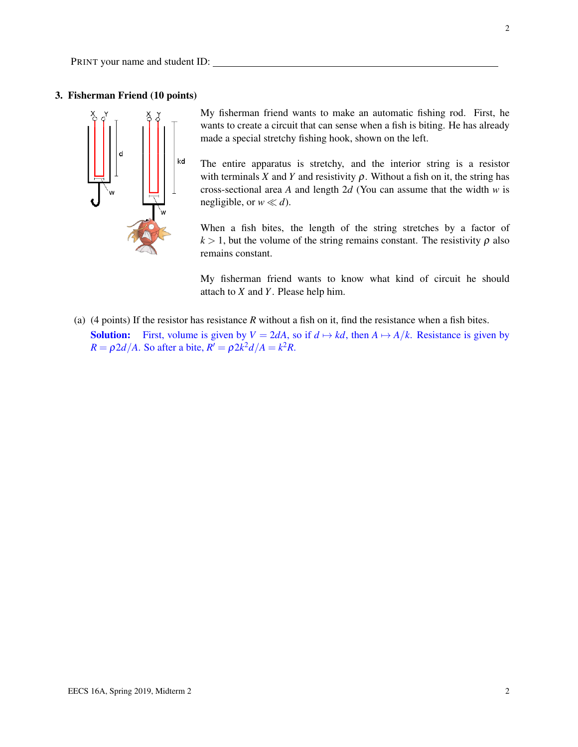PRINT your name and student ID:

## 3. Fisherman Friend (10 points)



My fisherman friend wants to make an automatic fishing rod. First, he wants to create a circuit that can sense when a fish is biting. He has already made a special stretchy fishing hook, shown on the left.

The entire apparatus is stretchy, and the interior string is a resistor with terminals *X* and *Y* and resistivity  $\rho$ . Without a fish on it, the string has cross-sectional area *A* and length 2*d* (You can assume that the width *w* is negligible, or  $w \ll d$ ).

When a fish bites, the length of the string stretches by a factor of  $k > 1$ , but the volume of the string remains constant. The resistivity  $\rho$  also remains constant.

My fisherman friend wants to know what kind of circuit he should attach to *X* and *Y*. Please help him.

(a) (4 points) If the resistor has resistance *R* without a fish on it, find the resistance when a fish bites. **Solution:** First, volume is given by  $V = 2dA$ , so if  $d \mapsto kd$ , then  $A \mapsto A/k$ . Resistance is given by  $R = \rho 2d/A$ . So after a bite,  $R' = \rho 2k^2 d/A = k^2 R$ .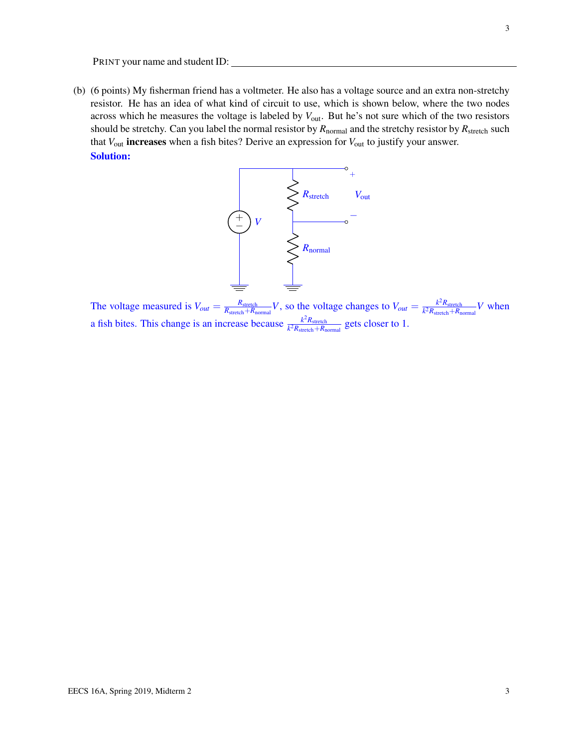PRINT your name and student ID:

(b) (6 points) My fisherman friend has a voltmeter. He also has a voltage source and an extra non-stretchy resistor. He has an idea of what kind of circuit to use, which is shown below, where the two nodes across which he measures the voltage is labeled by *V*out. But he's not sure which of the two resistors should be stretchy. Can you label the normal resistor by  $R_{normal}$  and the stretchy resistor by  $R_{stretch}$  such that *V*out increases when a fish bites? Derive an expression for *V*out to justify your answer. Solution:



The voltage measured is  $V_{out} = \frac{R_{\text{stretch}} + R_{\text{c}}}{R_{\text{stretch}} + R_{\text{c}}}$  $\frac{R_{\text{stretch}}}{R_{\text{stretch}} + R_{\text{normal}}} V$ , so the voltage changes to  $V_{out} = \frac{k^2 R_{\text{stretch}}}{k^2 R_{\text{stretch}} + R_{\text{n}}}$  $\frac{k^2 R_{\text{stretch}}}{k^2 R_{\text{stretch}} + R_{\text{normal}}} V$  when a fish bites. This change is an increase because  $\frac{k^2 R_{\text{stretch}}}{k^2 R_{\text{cutoff}}}$  $\frac{k^2 R_{\text{stretch}}}{k^2 R_{\text{stretch}} + R_{\text{normal}}}$  gets closer to 1.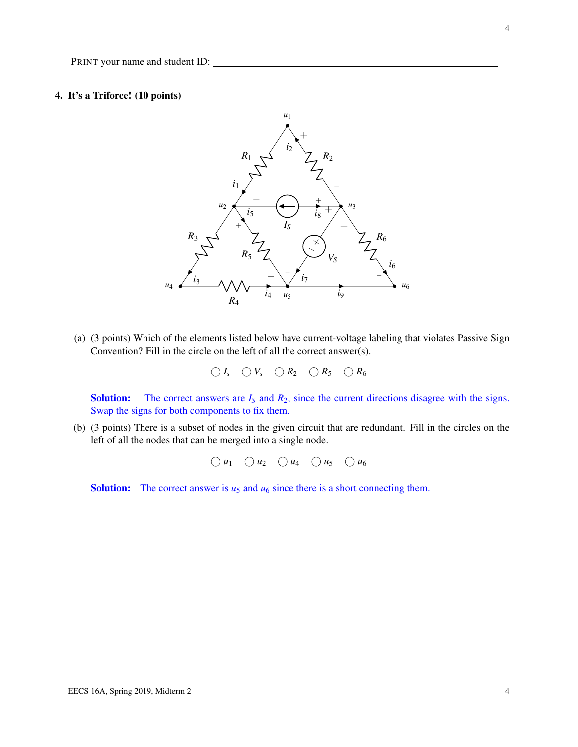# 4. It's a Triforce! (10 points)



(a) (3 points) Which of the elements listed below have current-voltage labeling that violates Passive Sign Convention? Fill in the circle on the left of all the correct answer(s).

 $\bigcirc I_s$   $\bigcirc V_s$   $\bigcirc R_2$   $\bigcirc R_5$   $\bigcirc R_6$ 

**Solution:** The correct answers are  $I<sub>S</sub>$  and  $R<sub>2</sub>$ , since the current directions disagree with the signs. Swap the signs for both components to fix them.

(b) (3 points) There is a subset of nodes in the given circuit that are redundant. Fill in the circles on the left of all the nodes that can be merged into a single node.

 $\bigcirc u_1 \bigcirc u_2 \bigcirc u_4 \bigcirc u_5 \bigcirc u_6$ 

**Solution:** The correct answer is  $u_5$  and  $u_6$  since there is a short connecting them.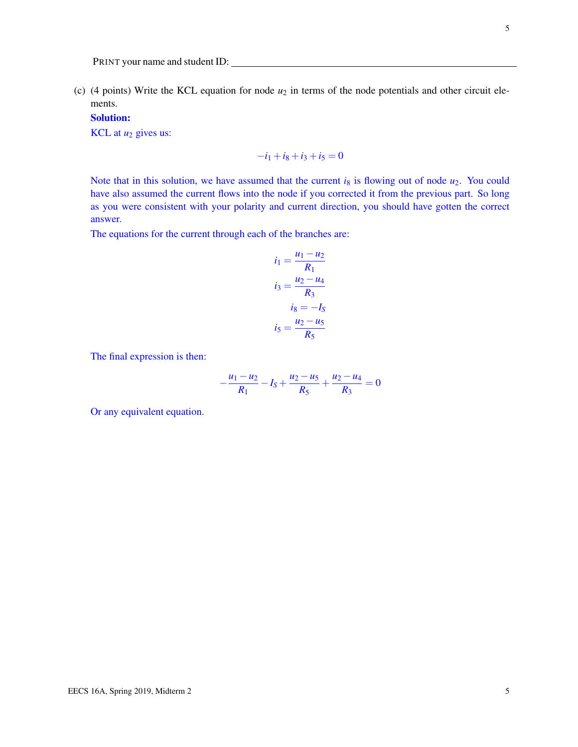(c) (4 points) Write the KCL equation for node  $u_2$  in terms of the node potentials and other circuit elements.

Solution:

KCL at  $u_2$  gives us:

$$
-i_1 + i_8 + i_3 + i_5 = 0
$$

Note that in this solution, we have assumed that the current  $i_8$  is flowing out of node  $u_2$ . You could have also assumed the current flows into the node if you corrected it from the previous part. So long as you were consistent with your polarity and current direction, you should have gotten the correct answer.

The equations for the current through each of the branches are:

$$
i_1 = \frac{u_1 - u_2}{R_1}
$$

$$
i_3 = \frac{u_2 - u_4}{R_3}
$$

$$
i_8 = -I_S
$$

$$
i_5 = \frac{u_2 - u_5}{R_5}
$$

The final expression is then:

$$
-\frac{u_1 - u_2}{R_1} - I_S + \frac{u_2 - u_5}{R_5} + \frac{u_2 - u_4}{R_3} = 0
$$

Or any equivalent equation.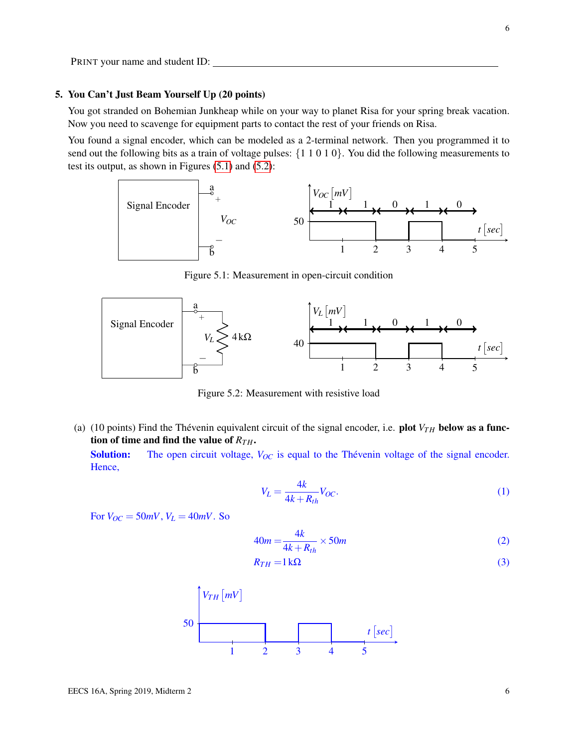## 5. You Can't Just Beam Yourself Up (20 points)

You got stranded on Bohemian Junkheap while on your way to planet Risa for your spring break vacation. Now you need to scavenge for equipment parts to contact the rest of your friends on Risa.

<span id="page-5-0"></span>You found a signal encoder, which can be modeled as a 2-terminal network. Then you programmed it to send out the following bits as a train of voltage pulses: {1 1 0 1 0}. You did the following measurements to test its output, as shown in Figures [\(5.1\)](#page-5-0) and [\(5.2\)](#page-5-1):



Figure 5.1: Measurement in open-circuit condition

<span id="page-5-1"></span>

Figure 5.2: Measurement with resistive load

(a) (10 points) Find the Thévenin equivalent circuit of the signal encoder, i.e. plot  $V_{TH}$  below as a function of time and find the value of  $R_{TH}$ .

Solution: The open circuit voltage,  $V_{OC}$  is equal to the Thévenin voltage of the signal encoder. Hence,

$$
V_L = \frac{4k}{4k + R_{th}} V_{OC}.\tag{1}
$$

For  $V_{OC} = 50mV$ ,  $V_L = 40mV$ . So

$$
40m = \frac{4k}{4k + R_{th}} \times 50m
$$
 (2)

$$
R_{TH} = 1 \,\mathrm{k}\Omega\tag{3}
$$

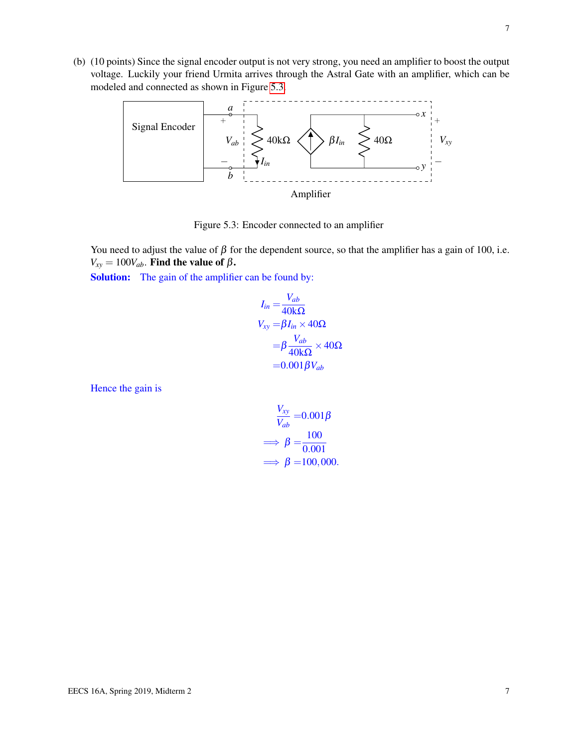<span id="page-6-0"></span>(b) (10 points) Since the signal encoder output is not very strong, you need an amplifier to boost the output voltage. Luckily your friend Urmita arrives through the Astral Gate with an amplifier, which can be modeled and connected as shown in Figure [5.3.](#page-6-0)



Figure 5.3: Encoder connected to an amplifier

You need to adjust the value of  $\beta$  for the dependent source, so that the amplifier has a gain of 100, i.e.  $V_{xy} = 100V_{ab}$ . Find the value of  $\beta$ .

Solution: The gain of the amplifier can be found by:

$$
I_{in} = \frac{V_{ab}}{40k\Omega}
$$
  
\n
$$
V_{xy} = \beta I_{in} \times 40\Omega
$$
  
\n
$$
= \beta \frac{V_{ab}}{40k\Omega} \times 40\Omega
$$
  
\n
$$
= 0.001 \beta V_{ab}
$$

Hence the gain is

$$
\frac{V_{xy}}{V_{ab}} = 0.001\beta
$$

$$
\implies \beta = \frac{100}{0.001}
$$

$$
\implies \beta = 100,000.
$$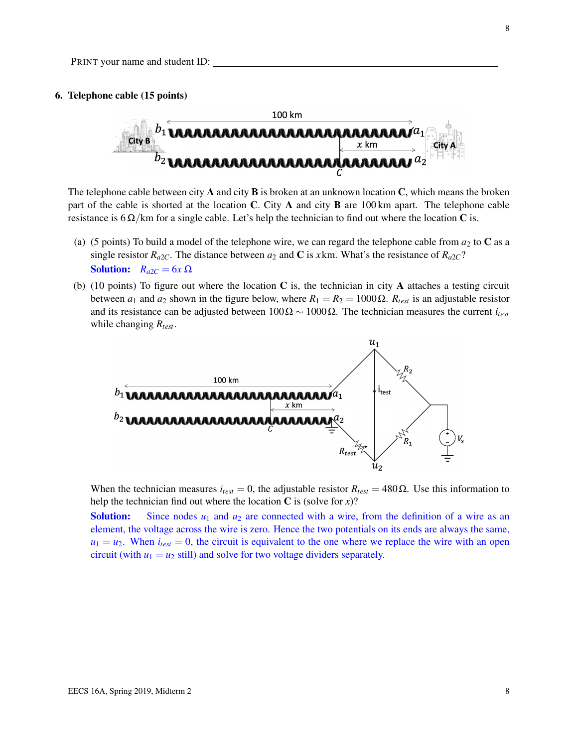#### 6. Telephone cable (15 points)



The telephone cable between city **A** and city **B** is broken at an unknown location **C**, which means the broken part of the cable is shorted at the location C. City A and city B are 100 km apart. The telephone cable resistance is  $6 \Omega/km$  for a single cable. Let's help the technician to find out where the location C is.

- (a) (5 points) To build a model of the telephone wire, we can regard the telephone cable from  $a_2$  to C as a single resistor  $R_{a2}$ . The distance between  $a_2$  and C is *x*km. What's the resistance of  $R_{a2}$ ? **Solution:**  $R_{a2C} = 6x \Omega$
- (b) (10 points) To figure out where the location  $C$  is, the technician in city  $A$  attaches a testing circuit between  $a_1$  and  $a_2$  shown in the figure below, where  $R_1 = R_2 = 1000 \Omega$ .  $R_{test}$  is an adjustable resistor and its resistance can be adjusted between  $100\Omega \sim 1000\Omega$ . The technician measures the current *i*<sub>lest</sub> while changing *Rtest*.



When the technician measures  $i_{test} = 0$ , the adjustable resistor  $R_{test} = 480 \Omega$ . Use this information to help the technician find out where the location  $C$  is (solve for  $x$ )?

**Solution:** Since nodes  $u_1$  and  $u_2$  are connected with a wire, from the definition of a wire as an element, the voltage across the wire is zero. Hence the two potentials on its ends are always the same,  $u_1 = u_2$ . When  $i_{test} = 0$ , the circuit is equivalent to the one where we replace the wire with an open circuit (with  $u_1 = u_2$  still) and solve for two voltage dividers separately.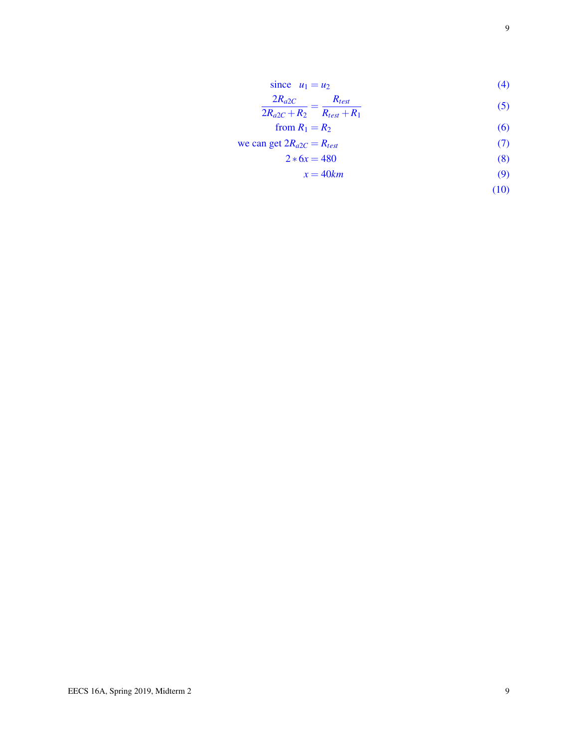since 
$$
u_1 = u_2
$$
 (4)

$$
\frac{2R_{a2C}}{2R_{a2C} + R_2} = \frac{R_{test}}{R_{test} + R_1}
$$
(5)

$$
from R_1 = R_2 \tag{6}
$$

we can get 
$$
2R_{a2C} = R_{test}
$$
 (7)

$$
2 * 6x = 480 \tag{8}
$$

$$
x = 40km \tag{9}
$$

$$
(10)
$$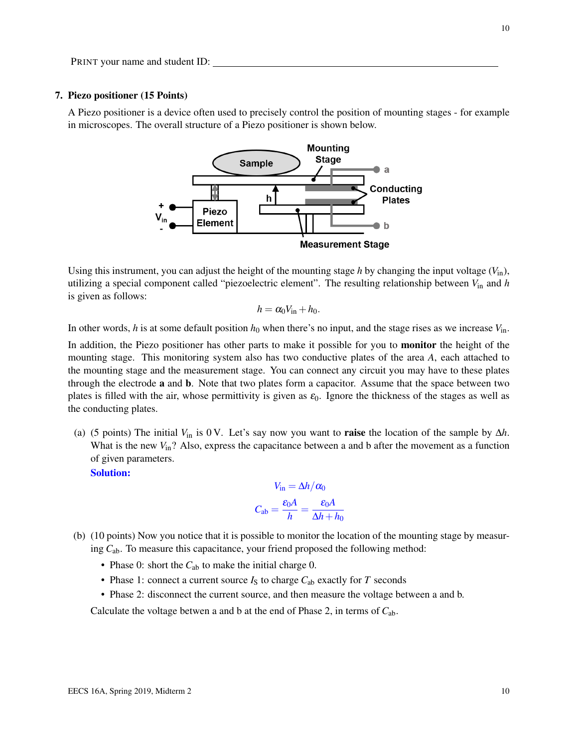## 7. Piezo positioner (15 Points)

A Piezo positioner is a device often used to precisely control the position of mounting stages - for example in microscopes. The overall structure of a Piezo positioner is shown below.



Using this instrument, you can adjust the height of the mounting stage *h* by changing the input voltage  $(V_{in})$ , utilizing a special component called "piezoelectric element". The resulting relationship between *V*in and *h* is given as follows:

$$
h=\alpha_0 V_{\rm in}+h_0.
$$

In other words, *h* is at some default position  $h_0$  when there's no input, and the stage rises as we increase  $V_{\text{in}}$ .

In addition, the Piezo positioner has other parts to make it possible for you to **monitor** the height of the mounting stage. This monitoring system also has two conductive plates of the area *A*, each attached to the mounting stage and the measurement stage. You can connect any circuit you may have to these plates through the electrode a and b. Note that two plates form a capacitor. Assume that the space between two plates is filled with the air, whose permittivity is given as  $\varepsilon_0$ . Ignore the thickness of the stages as well as the conducting plates.

(a) (5 points) The initial  $V_{\text{in}}$  is 0 V. Let's say now you want to **raise** the location of the sample by  $\Delta h$ . What is the new  $V_{\text{in}}$ ? Also, express the capacitance between a and b after the movement as a function of given parameters.

Solution:

$$
V_{\text{in}} = \Delta h / \alpha_0
$$

$$
C_{\text{ab}} = \frac{\varepsilon_0 A}{h} = \frac{\varepsilon_0 A}{\Delta h + h_0}
$$

- (b) (10 points) Now you notice that it is possible to monitor the location of the mounting stage by measuring *C*ab. To measure this capacitance, your friend proposed the following method:
	- Phase 0: short the  $C_{ab}$  to make the initial charge 0.
	- Phase 1: connect a current source  $I<sub>S</sub>$  to charge  $C<sub>ab</sub>$  exactly for *T* seconds
	- Phase 2: disconnect the current source, and then measure the voltage between a and b.

Calculate the voltage betwen a and b at the end of Phase 2, in terms of *C*ab.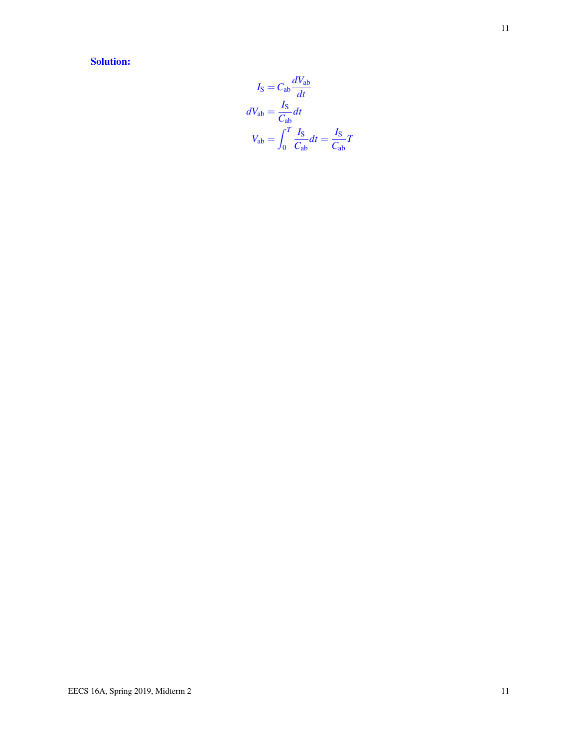Solution:

$$
I_{\rm S} = C_{\rm ab} \frac{dV_{\rm ab}}{dt}
$$

$$
dV_{\rm ab} = \frac{I_{\rm S}}{C_{\rm ab}} dt
$$

$$
V_{\rm ab} = \int_0^T \frac{I_{\rm S}}{C_{\rm ab}} dt = \frac{I_{\rm S}}{C_{\rm ab}} T
$$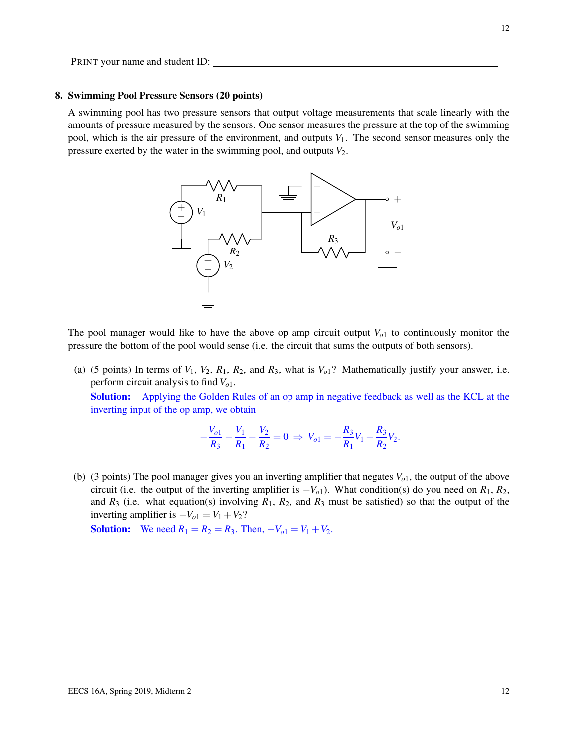## 8. Swimming Pool Pressure Sensors (20 points)

A swimming pool has two pressure sensors that output voltage measurements that scale linearly with the amounts of pressure measured by the sensors. One sensor measures the pressure at the top of the swimming pool, which is the air pressure of the environment, and outputs  $V_1$ . The second sensor measures only the pressure exerted by the water in the swimming pool, and outputs  $V_2$ .



The pool manager would like to have the above op amp circuit output  $V<sub>o1</sub>$  to continuously monitor the pressure the bottom of the pool would sense (i.e. the circuit that sums the outputs of both sensors).

(a) (5 points) In terms of  $V_1$ ,  $V_2$ ,  $R_1$ ,  $R_2$ , and  $R_3$ , what is  $V_0$ <sup>2</sup>. Mathematically justify your answer, i.e. perform circuit analysis to find *Vo*1.

Solution: Applying the Golden Rules of an op amp in negative feedback as well as the KCL at the inverting input of the op amp, we obtain

$$
-\frac{V_{o1}}{R_3}-\frac{V_1}{R_1}-\frac{V_2}{R_2}=0 \Rightarrow V_{o1}=-\frac{R_3}{R_1}V_1-\frac{R_3}{R_2}V_2.
$$

(b) (3 points) The pool manager gives you an inverting amplifier that negates *Vo*1, the output of the above circuit (i.e. the output of the inverting amplifier is  $-V<sub>o1</sub>$ ). What condition(s) do you need on  $R<sub>1</sub>$ ,  $R<sub>2</sub>$ , and  $R_3$  (i.e. what equation(s) involving  $R_1$ ,  $R_2$ , and  $R_3$  must be satisfied) so that the output of the inverting amplifier is  $-V_{o1} = V_1 + V_2$ ?

**Solution:** We need  $R_1 = R_2 = R_3$ . Then,  $-V_{o1} = V_1 + V_2$ .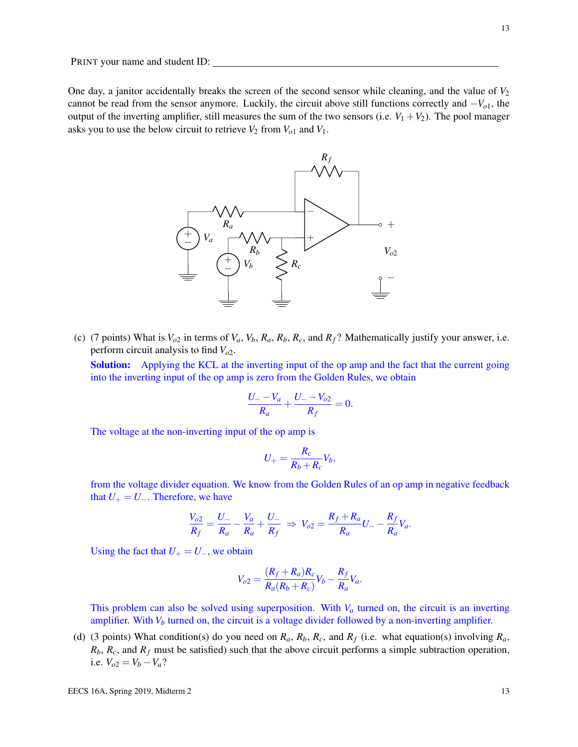One day, a janitor accidentally breaks the screen of the second sensor while cleaning, and the value of  $V_2$ cannot be read from the sensor anymore. Luckily, the circuit above still functions correctly and −*Vo*1, the output of the inverting amplifier, still measures the sum of the two sensors (i.e.  $V_1 + V_2$ ). The pool manager asks you to use the below circuit to retrieve  $V_2$  from  $V_{o1}$  and  $V_1$ .



(c) (7 points) What is  $V_{o2}$  in terms of  $V_a$ ,  $V_b$ ,  $R_a$ ,  $R_b$ ,  $R_c$ , and  $R_f$ ? Mathematically justify your answer, i.e. perform circuit analysis to find *Vo*2.

Solution: Applying the KCL at the inverting input of the op amp and the fact that the current going into the inverting input of the op amp is zero from the Golden Rules, we obtain

$$
\frac{U_{-}-V_a}{R_a}+\frac{U_{-}-V_{o2}}{R_f}=0.
$$

The voltage at the non-inverting input of the op amp is

$$
U_{+} = \frac{R_c}{R_b + R_c} V_b,
$$

from the voltage divider equation. We know from the Golden Rules of an op amp in negative feedback that  $U_+ = U_-.$  Therefore, we have

$$
\frac{V_{o2}}{R_f} = \frac{U_-}{R_a} - \frac{V_a}{R_a} + \frac{U_-}{R_f} \Rightarrow V_{o2} = \frac{R_f + R_a}{R_a} U_- - \frac{R_f}{R_a} V_a.
$$

Using the fact that  $U_+ = U_-,$  we obtain

$$
V_{o2} = \frac{(R_f + R_a)R_c}{R_a(R_b + R_c)}V_b - \frac{R_f}{R_a}V_a.
$$

This problem can also be solved using superposition. With *V<sup>a</sup>* turned on, the circuit is an inverting amplifier. With  $V_b$  turned on, the circuit is a voltage divider followed by a non-inverting amplifier.

(d) (3 points) What condition(s) do you need on  $R_a$ ,  $R_b$ ,  $R_c$ , and  $R_f$  (i.e. what equation(s) involving  $R_a$ ,  $R_b$ ,  $R_c$ , and  $R_f$  must be satisfied) such that the above circuit performs a simple subtraction operation, i.e.  $V_{o2} = V_b - V_a$ ?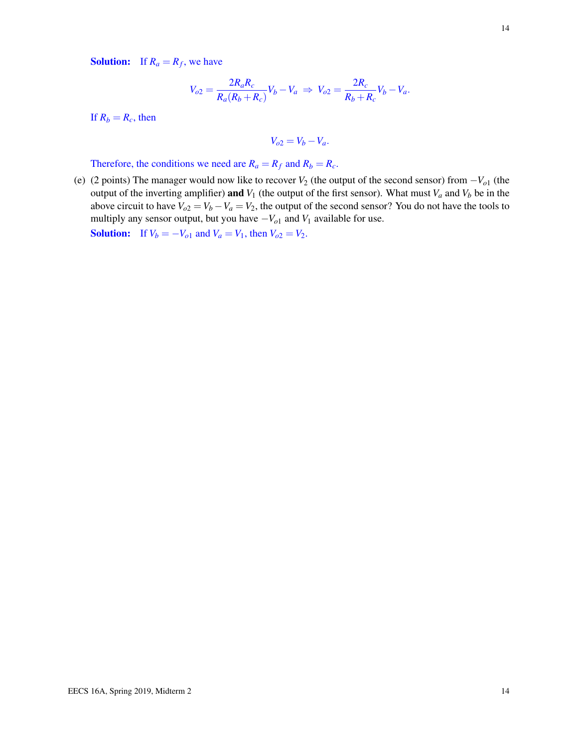**Solution:** If  $R_a = R_f$ , we have

$$
V_{o2} = \frac{2R_a R_c}{R_a (R_b + R_c)} V_b - V_a \Rightarrow V_{o2} = \frac{2R_c}{R_b + R_c} V_b - V_a.
$$

If  $R_b = R_c$ , then

$$
V_{o2} = V_b - V_a.
$$

Therefore, the conditions we need are  $R_a = R_f$  and  $R_b = R_c$ .

(e) (2 points) The manager would now like to recover  $V_2$  (the output of the second sensor) from  $-V_{01}$  (the output of the inverting amplifier) and  $V_1$  (the output of the first sensor). What must  $V_a$  and  $V_b$  be in the above circuit to have  $V_{o2} = V_b - V_a = V_2$ , the output of the second sensor? You do not have the tools to multiply any sensor output, but you have −*Vo*<sup>1</sup> and *V*<sup>1</sup> available for use.

**Solution:** If  $V_b = -V_{o1}$  and  $V_a = V_1$ , then  $V_{o2} = V_2$ .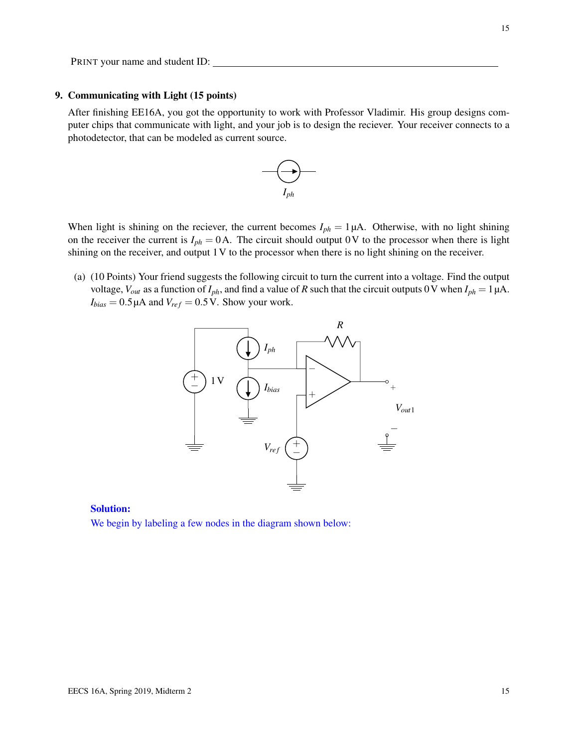# 9. Communicating with Light (15 points)

After finishing EE16A, you got the opportunity to work with Professor Vladimir. His group designs computer chips that communicate with light, and your job is to design the reciever. Your receiver connects to a photodetector, that can be modeled as current source.



When light is shining on the reciever, the current becomes  $I_{ph} = 1 \mu A$ . Otherwise, with no light shining on the receiver the current is  $I_{ph} = 0$ A. The circuit should output 0V to the processor when there is light shining on the receiver, and output 1V to the processor when there is no light shining on the receiver.

(a) (10 Points) Your friend suggests the following circuit to turn the current into a voltage. Find the output voltage,  $V_{out}$  as a function of  $I_{ph}$ , and find a value of *R* such that the circuit outputs 0 V when  $I_{ph} = 1 \mu A$ .  $I_{bias} = 0.5 \mu A$  and  $V_{ref} = 0.5 V$ . Show your work.



# Solution:

We begin by labeling a few nodes in the diagram shown below: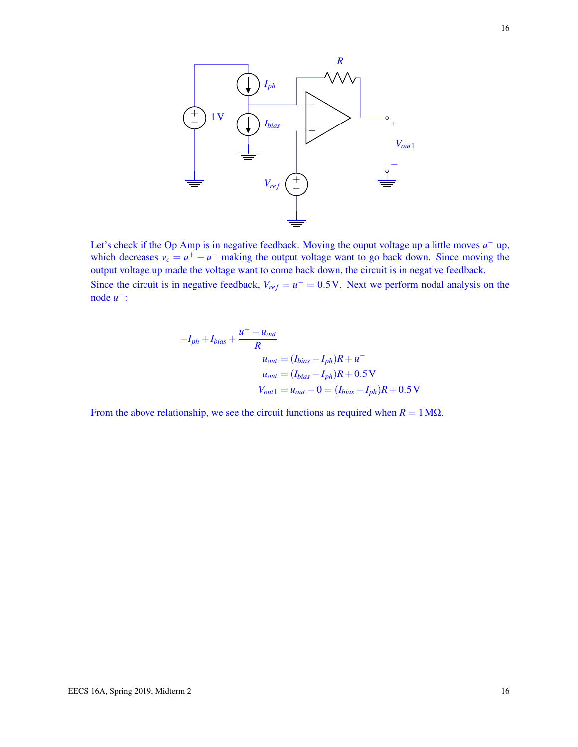

Let's check if the Op Amp is in negative feedback. Moving the ouput voltage up a little moves  $u^-$  up, which decreases  $v_c = u^+ - u^-$  making the output voltage want to go back down. Since moving the output voltage up made the voltage want to come back down, the circuit is in negative feedback. Since the circuit is in negative feedback,  $V_{ref} = u^- = 0.5$  V. Next we perform nodal analysis on the node *u* −:

$$
-I_{ph} + I_{bias} + \frac{u^- - u_{out}}{R}
$$
  
\n
$$
u_{out} = (I_{bias} - I_{ph})R + u^-
$$
  
\n
$$
u_{out} = (I_{bias} - I_{ph})R + 0.5 \text{ V}
$$
  
\n
$$
V_{out1} = u_{out} - 0 = (I_{bias} - I_{ph})R + 0.5 \text{ V}
$$

From the above relationship, we see the circuit functions as required when  $R = 1 M\Omega$ .